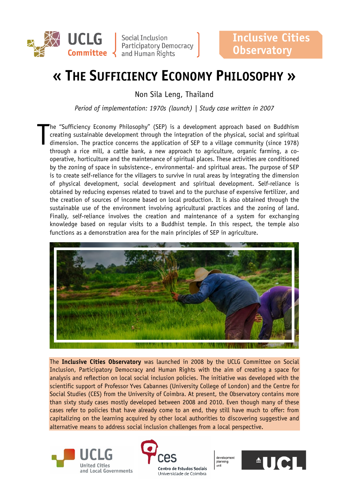

Social Inclusion Participatory Democracy **Committee**  $\left\{ \right.$  and Human Rights

# **« THE SUFFICIENCY ECONOMY PHILOSOPHY »**

Non Sila Leng, Thailand

*Period of implementation: 1970s (launch) | Study case written in 2007*

he "Sufficiency Economy Philosophy" (SEP) is a development approach based on Buddhism creating sustainable development through the integration of the physical, social and spiritual dimension. The practice concerns the application of SEP to a village community (since 1978) through a rice mill, a cattle bank, a new approach to agriculture, organic farming, a cooperative, horticulture and the maintenance of spiritual places. These activities are conditioned by the zoning of space in subsistence-, environmental- and spiritual areas. The purpose of SEP is to create self-reliance for the villagers to survive in rural areas by integrating the dimension of physical development, social development and spiritual development. Self-reliance is obtained by reducing expenses related to travel and to the purchase of expensive fertilizer, and the creation of sources of income based on local production. It is also obtained through the sustainable use of the environment involving agricultural practices and the zoning of land. Finally, self-reliance involves the creation and maintenance of a system for exchanging knowledge based on regular visits to a Buddhist temple. In this respect, the temple also functions as a demonstration area for the main principles of SEP in agriculture. T



The **Inclusive Cities Observatory** was launched in 2008 by the UCLG Committee on Social Inclusion, Participatory Democracy and Human Rights with the aim of creating a space for analysis and reflection on local social inclusion policies. The initiative was developed with the scientific support of Professor Yves Cabannes (University College of London) and the Centre for Social Studies (CES) from the University of Coimbra. At present, the Observatory contains more than sixty study cases mostly developed between 2008 and 2010. Even though many of these cases refer to policies that have already come to an end, they still have much to offer: from capitalizing on the learning acquired by other local authorities to discovering suggestive and alternative means to address social inclusion challenges from a local perspective.





development planning unit

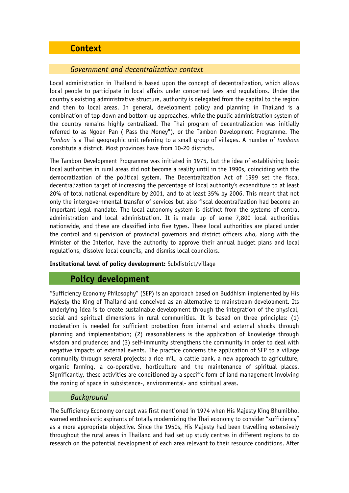# **Context**

#### *Government and decentralization context*

Local administration in Thailand is based upon the concept of decentralization, which allows local people to participate in local affairs under concerned laws and regulations. Under the country's existing administrative structure, authority is delegated from the capital to the region and then to local areas. In general, development policy and planning in Thailand is a combination of top-down and bottom-up approaches, while the public administration system of the country remains highly centralized. The Thai program of decentralization was initially referred to as Ngoen Pan ("Pass the Money"), or the Tambon Development Programme. The *Tambon* is a Thai geographic unit referring to a small group of villages. A number of *tambons* constitute a district. Most provinces have from 10-20 districts.

The Tambon Development Programme was initiated in 1975, but the idea of establishing basic local authorities in rural areas did not become a reality until in the 1990s, coinciding with the democratization of the political system. The Decentralization Act of 1999 set the fiscal decentralization target of increasing the percentage of local authority's expenditure to at least 20% of total national expenditure by 2001, and to at least 35% by 2006. This meant that not only the intergovernmental transfer of services but also fiscal decentralization had become an important legal mandate. The local autonomy system is distinct from the systems of central administration and local administration. It is made up of some 7,800 local authorities nationwide, and these are classified into five types. These local authorities are placed under the control and supervision of provincial governors and district officers who, along with the Minister of the Interior, have the authority to approve their annual budget plans and local regulations, dissolve local councils, and dismiss local councilors.

#### **Institutional level of policy development:** Subdistrict/village

# **Policy development**

"Sufficiency Economy Philosophy" (SEP) is an approach based on Buddhism implemented by His Majesty the King of Thailand and conceived as an alternative to mainstream development. Its underlying idea is to create sustainable development through the integration of the physical, social and spiritual dimensions in rural communities. It is based on three principles: (1) moderation is needed for sufficient protection from internal and external shocks through planning and implementation; (2) reasonableness is the application of knowledge through wisdom and prudence; and (3) self-immunity strengthens the community in order to deal with negative impacts of external events. The practice concerns the application of SEP to a village community through several projects: a rice mill, a cattle bank, a new approach to agriculture, organic farming, a co-operative, horticulture and the maintenance of spiritual places. Significantly, these activities are conditioned by a specific form of land management involving the zoning of space in subsistence-, environmental- and spiritual areas.

#### *Background*

The Sufficiency Economy concept was first mentioned in 1974 when His Majesty King Bhumibhol warned enthusiastic aspirants of totally modernizing the Thai economy to consider "sufficiency" as a more appropriate objective. Since the 1950s, His Majesty had been travelling extensively throughout the rural areas in Thailand and had set up study centres in different regions to do research on the potential development of each area relevant to their resource conditions. After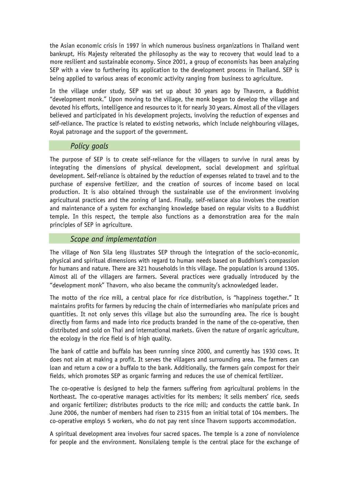the Asian economic crisis in 1997 in which numerous business organizations in Thailand went bankrupt, His Majesty reiterated the philosophy as the way to recovery that would lead to a more resilient and sustainable economy. Since 2001, a group of economists has been analyzing SEP with a view to furthering its application to the development process in Thailand. SEP is being applied to various areas of economic activity ranging from business to agriculture.

In the village under study, SEP was set up about 30 years ago by Thavorn, a Buddhist "development monk." Upon moving to the village, the monk began to develop the village and devoted his efforts, intelligence and resources to it for nearly 30 years. Almost all of the villagers believed and participated in his development projects, involving the reduction of expenses and self-reliance. The practice is related to existing networks, which include neighbouring villages, Royal patronage and the support of the government.

#### *Policy goals*

The purpose of SEP is to create self-reliance for the villagers to survive in rural areas by integrating the dimensions of physical development, social development and spiritual development. Self-reliance is obtained by the reduction of expenses related to travel and to the purchase of expensive fertilizer, and the creation of sources of income based on local production. It is also obtained through the sustainable use of the environment involving agricultural practices and the zoning of land. Finally, self-reliance also involves the creation and maintenance of a system for exchanging knowledge based on regular visits to a Buddhist temple. In this respect, the temple also functions as a demonstration area for the main principles of SEP in agriculture.

#### *Scope and implementation*

The village of Non Sila leng illustrates SEP through the integration of the socio-economic, physical and spiritual dimensions with regard to human needs based on Buddhism's compassion for humans and nature. There are 321 households in this village. The population is around 1305. Almost all of the villagers are farmers. Several practices were gradually introduced by the "development monk" Thavorn, who also became the community's acknowledged leader.

The motto of the rice mill, a central place for rice distribution, is "happiness together." It maintains profits for farmers by reducing the chain of intermediaries who manipulate prices and quantities. It not only serves this village but also the surrounding area. The rice is bought directly from farms and made into rice products branded in the name of the co-operative, then distributed and sold on Thai and international markets. Given the nature of organic agriculture, the ecology in the rice field is of high quality.

The bank of cattle and buffalo has been running since 2000, and currently has 1930 cows. It does not aim at making a profit. It serves the villagers and surrounding area. The farmers can loan and return a cow or a buffalo to the bank. Additionally, the farmers gain compost for their fields, which promotes SEP as organic farming and reduces the use of chemical fertilizer.

The co-operative is designed to help the farmers suffering from agricultural problems in the Northeast. The co-operative manages activities for its members; it sells members' rice, seeds and organic fertilizer; distributes products to the rice mill; and conducts the cattle bank. In June 2006, the number of members had risen to 2315 from an initial total of 104 members. The co-operative employs 5 workers, who do not pay rent since Thavorn supports accommodation.

A spiritual development area involves four sacred spaces. The temple is a zone of nonviolence for people and the environment. Nonsilaleng temple is the central place for the exchange of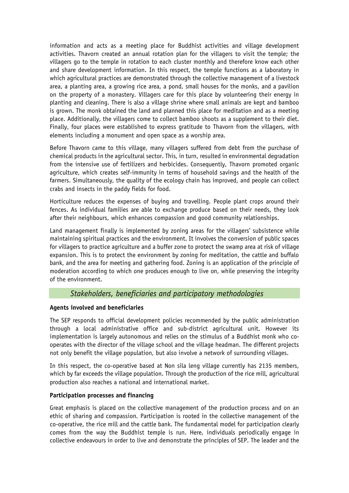information and acts as a meeting place for Buddhist activities and village development activities. Thavorn created an annual rotation plan for the villagers to visit the temple; the villagers go to the temple in rotation to each cluster monthly and therefore know each other and share development information. In this respect, the temple functions as a laboratory in which agricultural practices are demonstrated through the collective management of a livestock area, a planting area, a growing rice area, a pond, small houses for the monks, and a pavilion on the property of a monastery. Villagers care for this place by volunteering their energy in planting and cleaning. There is also a village shrine where small animals are kept and bamboo is grown. The monk obtained the land and planned this place for meditation and as a meeting place. Additionally, the villagers come to collect bamboo shoots as a supplement to their diet. Finally, four places were established to express gratitude to Thavorn from the villagers, with elements including a monument and open space as a worship area.

Before Thavorn came to this village, many villagers suffered from debt from the purchase of chemical products in the agricultural sector. This, in turn, resulted in environmental degradation from the intensive use of fertilizers and herbicides. Consequently, Thavorn promoted organic agriculture, which creates self-immunity in terms of household savings and the health of the farmers. Simultaneously, the quality of the ecology chain has improved, and people can collect crabs and insects in the paddy fields for food.

Horticulture reduces the expenses of buying and travelling. People plant crops around their fences. As individual families are able to exchange produce based on their needs, they look after their neighbours, which enhances compassion and good community relationships.

Land management finally is implemented by zoning areas for the villagers' subsistence while maintaining spiritual practices and the environment. It involves the conversion of public spaces for villagers to practice agriculture and a buffer zone to protect the swamp area at risk of village expansion. This is to protect the environment by zoning for meditation, the cattle and buffalo bank, and the area for meeting and gathering food. Zoning is an application of the principle of moderation according to which one produces enough to live on, while preserving the integrity of the environment.

## *Stakeholders, beneficiaries and participatory methodologies*

#### **Agents involved and beneficiaries**

The SEP responds to official development policies recommended by the public administration through a local administrative office and sub-district agricultural unit. However its implementation is largely autonomous and relies on the stimulus of a Buddhist monk who cooperates with the director of the village school and the village headman. The different projects not only benefit the village population, but also involve a network of surrounding villages.

In this respect, the co-operative based at Non sila leng village currently has 2135 members, which by far exceeds the village population. Through the production of the rice mill, agricultural production also reaches a national and international market.

#### **Participation processes and financing**

Great emphasis is placed on the collective management of the production process and on an ethic of sharing and compassion. Participation is rooted in the collective management of the co-operative, the rice mill and the cattle bank. The fundamental model for participation clearly comes from the way the Buddhist temple is run. Here, individuals periodically engage in collective endeavours in order to live and demonstrate the principles of SEP. The leader and the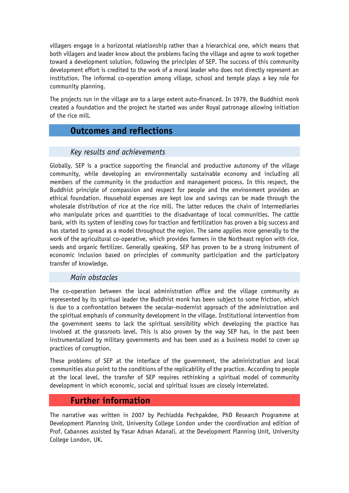villagers engage in a horizontal relationship rather than a hierarchical one, which means that both villagers and leader know about the problems facing the village and agree to work together toward a development solution, following the principles of SEP. The success of this community development effort is credited to the work of a moral leader who does not directly represent an institution. The informal co-operation among village, school and temple plays a key role for community planning.

The projects run in the village are to a large extent auto-financed. In 1979, the Buddhist monk created a foundation and the project he started was under Royal patronage allowing initiation of the rice mill.

# **Outcomes and reflections**

# *Key results and achievements*

Globally, SEP is a practice supporting the financial and productive autonomy of the village community, while developing an environmentally sustainable economy and including all members of the community in the production and management process. In this respect, the Buddhist principle of compassion and respect for people and the environment provides an ethical foundation. Household expenses are kept low and savings can be made through the wholesale distribution of rice at the rice mill. The latter reduces the chain of intermediaries who manipulate prices and quantities to the disadvantage of local communities. The cattle bank, with its system of lending cows for traction and fertilization has proven a big success and has started to spread as a model throughout the region. The same applies more generally to the work of the agricultural co-operative, which provides farmers in the Northeast region with rice, seeds and organic fertilizer. Generally speaking, SEP has proven to be a strong instrument of economic inclusion based on principles of community participation and the participatory transfer of knowledge.

## *Main obstacles*

The co-operation between the local administration office and the village community as represented by its spiritual leader the Buddhist monk has been subject to some friction, which is due to a confrontation between the secular-modernist approach of the administration and the spiritual emphasis of community development in the village. Institutional intervention from the government seems to lack the spiritual sensibility which developing the practice has involved at the grassroots level. This is also proven by the way SEP has, in the past been instrumentalized by military governments and has been used as a business model to cover up practices of corruption.

These problems of SEP at the interface of the government, the administration and local communities also point to the conditions of the replicability of the practice. According to people at the local level, the transfer of SEP requires rethinking a spiritual model of community development in which economic, social and spiritual issues are closely interrelated.

# **Further information**

The narrative was written in 2007 by Pechladda Pechpakdee, PhD Research Programme at Development Planning Unit, University College London under the coordination and edition of Prof. Cabannes assisted by Yasar Adnan Adanali, at the Development Planning Unit, University College London, UK.